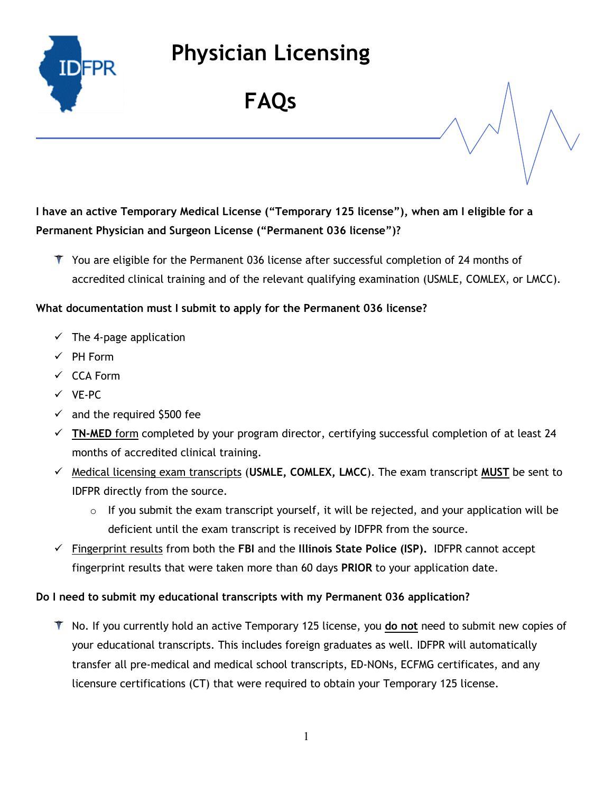

FAQs

### I have an active Temporary Medical License ("Temporary 125 license"), when am I eligible for a Permanent Physician and Surgeon License ("Permanent 036 license")?

T You are eligible for the Permanent 036 license after successful completion of 24 months of accredited clinical training and of the relevant qualifying examination (USMLE, COMLEX, or LMCC).

#### What documentation must I submit to apply for the Permanent 036 license?

- $\checkmark$  The 4-page application
- $\checkmark$  PH Form
- CCA Form
- $V$  VE-PC
- $\checkmark$  and the required \$500 fee
- $\checkmark$  TN-MED form completed by your program director, certifying successful completion of at least 24 months of accredited clinical training.
- $\checkmark$  Medical licensing exam transcripts (USMLE, COMLEX, LMCC). The exam transcript MUST be sent to IDFPR directly from the source.
	- $\circ$  If you submit the exam transcript yourself, it will be rejected, and your application will be deficient until the exam transcript is received by IDFPR from the source.
- $\checkmark$  Fingerprint results from both the FBI and the Illinois State Police (ISP). IDFPR cannot accept fingerprint results that were taken more than 60 days PRIOR to your application date.

#### Do I need to submit my educational transcripts with my Permanent 036 application?

 $\bar{\mathcal{T}}$  No. If you currently hold an active Temporary 125 license, you do not need to submit new copies of your educational transcripts. This includes foreign graduates as well. IDFPR will automatically transfer all pre-medical and medical school transcripts, ED-NONs, ECFMG certificates, and any licensure certifications (CT) that were required to obtain your Temporary 125 license.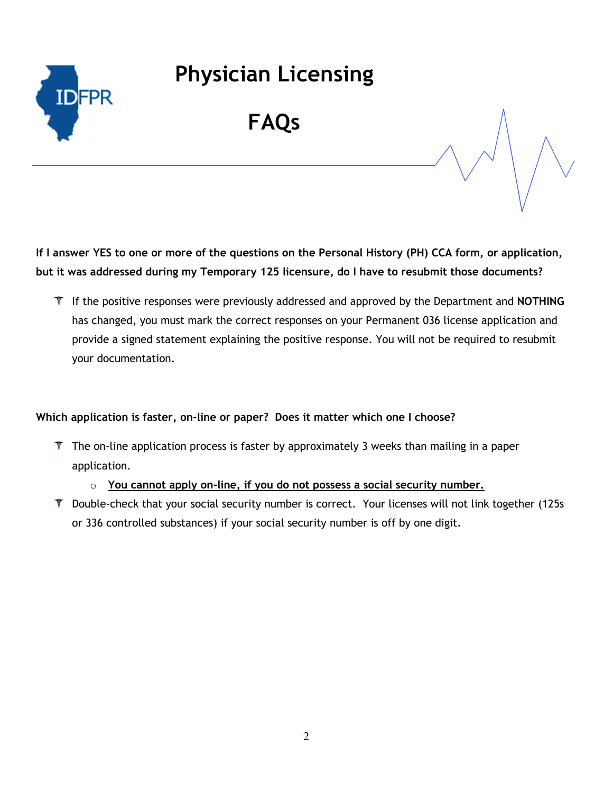

### FAQs

If I answer YES to one or more of the questions on the Personal History (PH) CCA form, or application, but it was addressed during my Temporary 125 licensure, do I have to resubmit those documents?

 $\mathbb T$  If the positive responses were previously addressed and approved by the Department and NOTHING has changed, you must mark the correct responses on your Permanent 036 license application and provide a signed statement explaining the positive response. You will not be required to resubmit your documentation.

#### Which application is faster, on-line or paper? Does it matter which one I choose?

- $\mathbb T$  The on-line application process is faster by approximately 3 weeks than mailing in a paper application.
	- $\circ$  You cannot apply on-line, if you do not possess a social security number.
- T Double-check that your social security number is correct. Your licenses will not link together (125s) or 336 controlled substances) if your social security number is off by one digit.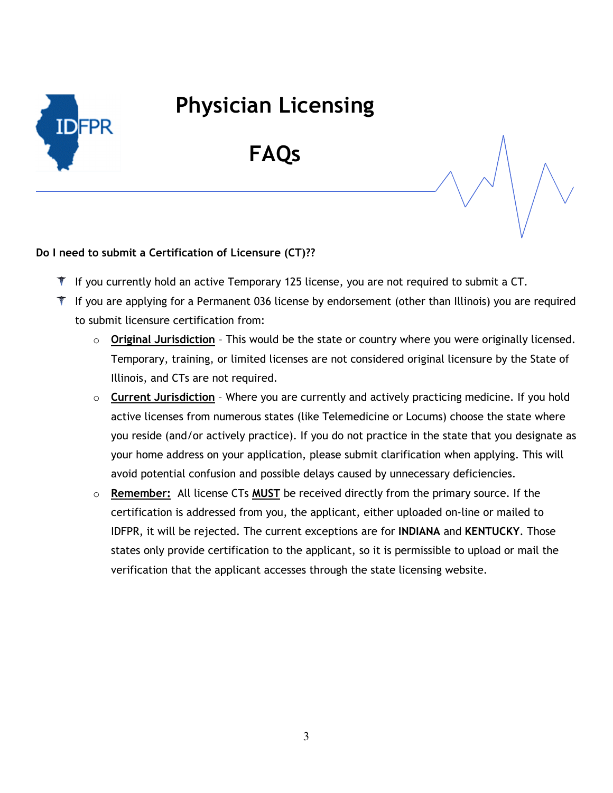

FAQs

#### Do I need to submit a Certification of Licensure (CT)??

- $\bar{\mathbf{I}}$  If you currently hold an active Temporary 125 license, you are not required to submit a CT.
- $\mathbb T$  If you are applying for a Permanent 036 license by endorsement (other than Illinois) you are required to submit licensure certification from:
	- $\circ$  Original Jurisdiction This would be the state or country where you were originally licensed. Temporary, training, or limited licenses are not considered original licensure by the State of Illinois, and CTs are not required.
	- $\circ$  Current Jurisdiction Where you are currently and actively practicing medicine. If you hold active licenses from numerous states (like Telemedicine or Locums) choose the state where you reside (and/or actively practice). If you do not practice in the state that you designate as your home address on your application, please submit clarification when applying. This will avoid potential confusion and possible delays caused by unnecessary deficiencies.
	- $\circ$  Remember: All license CTs MUST be received directly from the primary source. If the certification is addressed from you, the applicant, either uploaded on-line or mailed to IDFPR, it will be rejected. The current exceptions are for INDIANA and KENTUCKY. Those states only provide certification to the applicant, so it is permissible to upload or mail the verification that the applicant accesses through the state licensing website.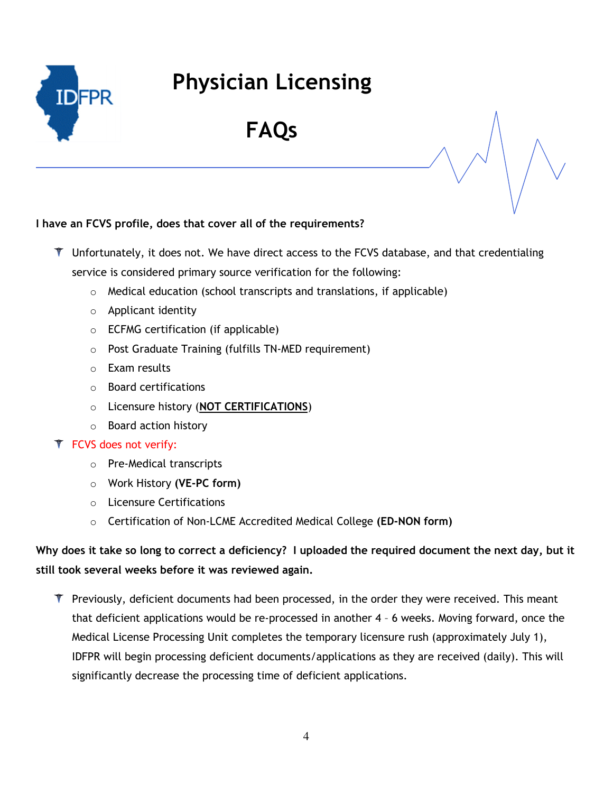

FAQs

#### I have an FCVS profile, does that cover all of the requirements?

- T Unfortunately, it does not. We have direct access to the FCVS database, and that credentialing service is considered primary source verification for the following:
	- o Medical education (school transcripts and translations, if applicable)
	- o Applicant identity
	- o ECFMG certification (if applicable)
	- o Post Graduate Training (fulfills TN-MED requirement)
	- o Exam results
	- o Board certifications
	- o Licensure history (NOT CERTIFICATIONS)
	- o Board action history
- FCVS does not verify:
	- o Pre-Medical transcripts
	- o Work History (VE-PC form)
	- o Licensure Certifications
	- o Certification of Non-LCME Accredited Medical College (ED-NON form)

### Why does it take so long to correct a deficiency? I uploaded the required document the next day, but it still took several weeks before it was reviewed again.

 $\mathbb T$  Previously, deficient documents had been processed, in the order they were received. This meant that deficient applications would be re-processed in another 4 – 6 weeks. Moving forward, once the Medical License Processing Unit completes the temporary licensure rush (approximately July 1), IDFPR will begin processing deficient documents/applications as they are received (daily). This will significantly decrease the processing time of deficient applications.